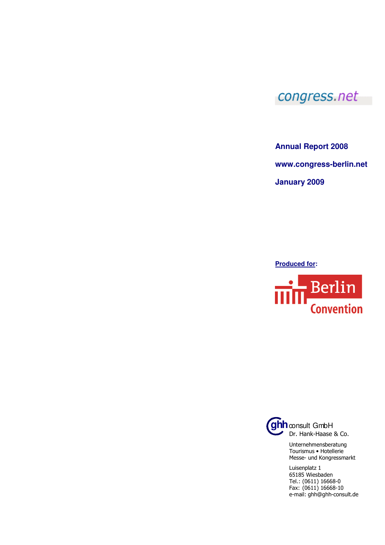## congress.net

**Annual Report 2008** 

**www.congress-berlin.net** 

**January 2009**

**Produced for:** 





Dr. Hank-Haase & Co.

Unternehmensberatung Tourismus • Hotellerie Messe- und Kongressmarkt

Luisenplatz 1 65185 Wiesbaden Tel.: (0611) 16668-0 Fax: (0611) 16668-10 e-mail: ghh@ghh-consult.de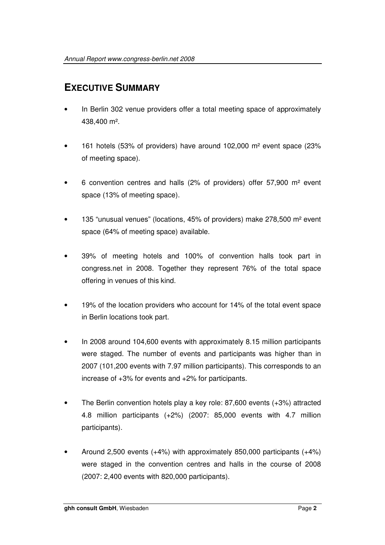## **EXECUTIVE SUMMARY**

- In Berlin 302 venue providers offer a total meeting space of approximately 438,400 m².
- 161 hotels (53% of providers) have around 102,000 m² event space (23% of meeting space).
- 6 convention centres and halls (2% of providers) offer 57,900 m² event space (13% of meeting space).
- 135 "unusual venues" (locations, 45% of providers) make 278,500 m² event space (64% of meeting space) available.
- 39% of meeting hotels and 100% of convention halls took part in congress.net in 2008. Together they represent 76% of the total space offering in venues of this kind.
- 19% of the location providers who account for 14% of the total event space in Berlin locations took part.
- In 2008 around 104,600 events with approximately 8.15 million participants were staged. The number of events and participants was higher than in 2007 (101,200 events with 7.97 million participants). This corresponds to an increase of +3% for events and +2% for participants.
- The Berlin convention hotels play a key role: 87,600 events (+3%) attracted 4.8 million participants (+2%) (2007: 85,000 events with 4.7 million participants).
- Around 2,500 events (+4%) with approximately 850,000 participants (+4%) were staged in the convention centres and halls in the course of 2008 (2007: 2,400 events with 820,000 participants).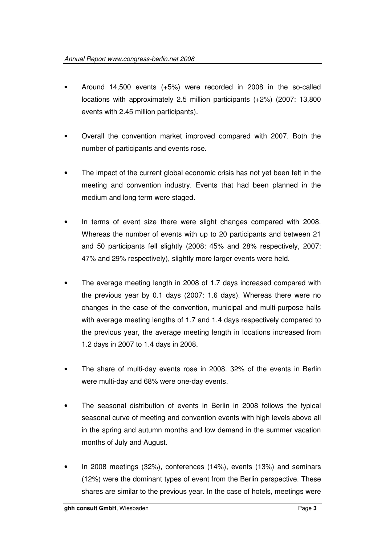- Around 14,500 events (+5%) were recorded in 2008 in the so-called locations with approximately 2.5 million participants (+2%) (2007: 13,800 events with 2.45 million participants).
- Overall the convention market improved compared with 2007. Both the number of participants and events rose.
- The impact of the current global economic crisis has not yet been felt in the meeting and convention industry. Events that had been planned in the medium and long term were staged.
- In terms of event size there were slight changes compared with 2008. Whereas the number of events with up to 20 participants and between 21 and 50 participants fell slightly (2008: 45% and 28% respectively, 2007: 47% and 29% respectively), slightly more larger events were held.
- The average meeting length in 2008 of 1.7 days increased compared with the previous year by 0.1 days (2007: 1.6 days). Whereas there were no changes in the case of the convention, municipal and multi-purpose halls with average meeting lengths of 1.7 and 1.4 days respectively compared to the previous year, the average meeting length in locations increased from 1.2 days in 2007 to 1.4 days in 2008.
- The share of multi-day events rose in 2008. 32% of the events in Berlin were multi-day and 68% were one-day events.
- The seasonal distribution of events in Berlin in 2008 follows the typical seasonal curve of meeting and convention events with high levels above all in the spring and autumn months and low demand in the summer vacation months of July and August.
- In 2008 meetings (32%), conferences (14%), events (13%) and seminars (12%) were the dominant types of event from the Berlin perspective. These shares are similar to the previous year. In the case of hotels, meetings were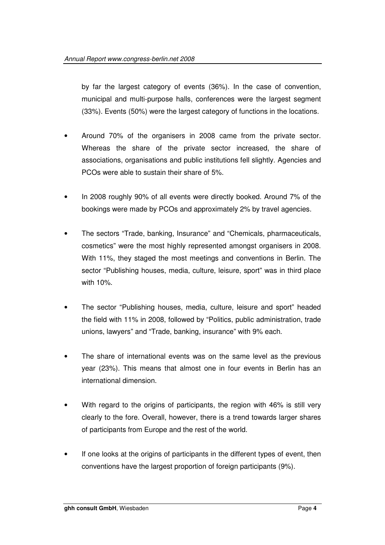by far the largest category of events (36%). In the case of convention, municipal and multi-purpose halls, conferences were the largest segment (33%). Events (50%) were the largest category of functions in the locations.

- Around 70% of the organisers in 2008 came from the private sector. Whereas the share of the private sector increased, the share of associations, organisations and public institutions fell slightly. Agencies and PCOs were able to sustain their share of 5%.
- In 2008 roughly 90% of all events were directly booked. Around 7% of the bookings were made by PCOs and approximately 2% by travel agencies.
- The sectors "Trade, banking, Insurance" and "Chemicals, pharmaceuticals, cosmetics" were the most highly represented amongst organisers in 2008. With 11%, they staged the most meetings and conventions in Berlin. The sector "Publishing houses, media, culture, leisure, sport" was in third place with 10%.
- The sector "Publishing houses, media, culture, leisure and sport" headed the field with 11% in 2008, followed by "Politics, public administration, trade unions, lawyers" and "Trade, banking, insurance" with 9% each.
- The share of international events was on the same level as the previous year (23%). This means that almost one in four events in Berlin has an international dimension.
- With regard to the origins of participants, the region with 46% is still very clearly to the fore. Overall, however, there is a trend towards larger shares of participants from Europe and the rest of the world.
- If one looks at the origins of participants in the different types of event, then conventions have the largest proportion of foreign participants (9%).